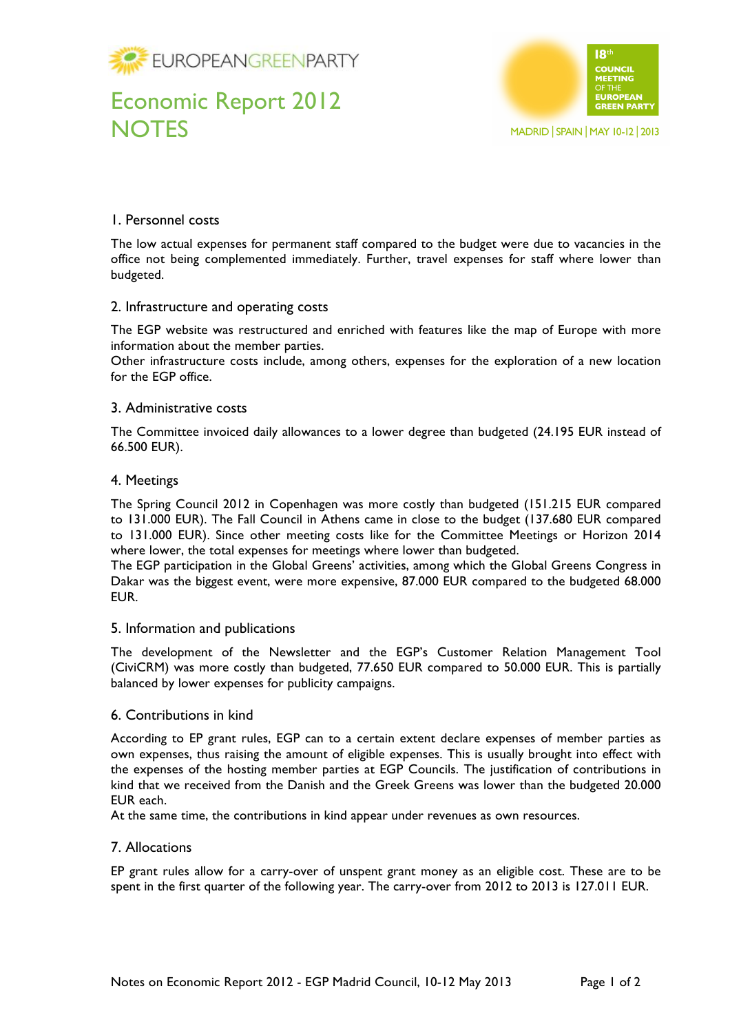

# Economic Report 2012 **NOTES**



## 1. Personnel costs

The low actual expenses for permanent staff compared to the budget were due to vacancies in the office not being complemented immediately. Further, travel expenses for staff where lower than budgeted.

### 2. Infrastructure and operating costs

The EGP website was restructured and enriched with features like the map of Europe with more information about the member parties.

Other infrastructure costs include, among others, expenses for the exploration of a new location for the EGP office.

### 3. Administrative costs

The Committee invoiced daily allowances to a lower degree than budgeted (24.195 EUR instead of 66.500 EUR).

### 4. Meetings

The Spring Council 2012 in Copenhagen was more costly than budgeted (151.215 EUR compared to 131.000 EUR). The Fall Council in Athens came in close to the budget (137.680 EUR compared to 131.000 EUR). Since other meeting costs like for the Committee Meetings or Horizon 2014 where lower, the total expenses for meetings where lower than budgeted.

The EGP participation in the Global Greens' activities, among which the Global Greens Congress in Dakar was the biggest event, were more expensive, 87.000 EUR compared to the budgeted 68.000 EUR.

### 5. Information and publications

The development of the Newsletter and the EGP's Customer Relation Management Tool (CiviCRM) was more costly than budgeted, 77.650 EUR compared to 50.000 EUR. This is partially balanced by lower expenses for publicity campaigns.

### 6. Contributions in kind

According to EP grant rules, EGP can to a certain extent declare expenses of member parties as own expenses, thus raising the amount of eligible expenses. This is usually brought into effect with the expenses of the hosting member parties at EGP Councils. The justification of contributions in kind that we received from the Danish and the Greek Greens was lower than the budgeted 20.000 EUR each.

At the same time, the contributions in kind appear under revenues as own resources.

### 7. Allocations

EP grant rules allow for a carry-over of unspent grant money as an eligible cost. These are to be spent in the first quarter of the following year. The carry-over from 2012 to 2013 is 127.011 EUR.